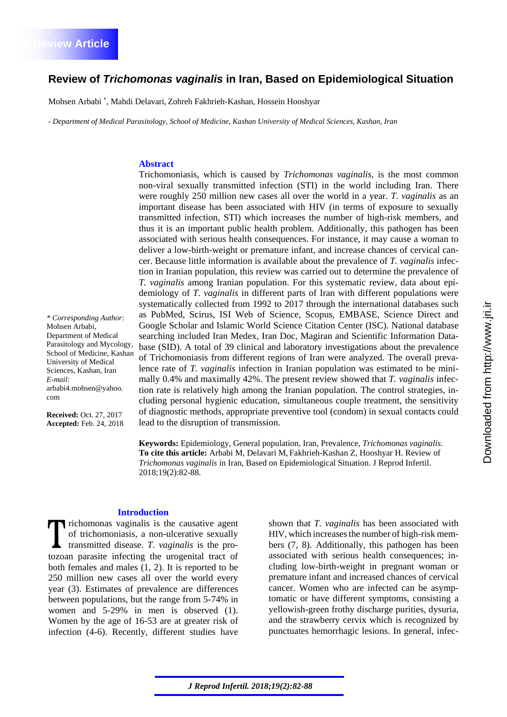*\* Corresponding Author:* 

arbabi4.mohsen@yahoo.

**Received:** Oct. 27, 2017 **Accepted:** Feb. 24, 2018

Mohsen Arbabi, Department of Medical Parasitology and Mycology, School of Medicine, Kashan University of Medical Sciences, Kashan, Iran

*E-mail:*

com

# **Review of** *Trichomonas vaginalis* **in Iran, Based on Epidemiological Situation**

Mohsen Arbabi <sup>∗</sup> , Mahdi Delavari, Zohreh Fakhrieh-Kashan, Hossein Hooshyar

*- Department of Medical Parasitology, School of Medicine, Kashan University of Medical Sciences, Kashan, Iran* 

### **Abstract**

Trichomoniasis, which is caused by *Trichomonas vaginalis*, is the most common non-viral sexually transmitted infection (STI) in the world including Iran. There were roughly 250 million new cases all over the world in a year. *T. vaginalis* as an important disease has been associated with HIV (in terms of exposure to sexually transmitted infection, STI) which increases the number of high-risk members, and thus it is an important public health problem. Additionally, this pathogen has been associated with serious health consequences. For instance, it may cause a woman to deliver a low-birth-weight or premature infant, and increase chances of cervical cancer. Because little information is available about the prevalence of *T. vaginalis* infection in Iranian population, this review was carried out to determine the prevalence of *T. vaginalis* among Iranian population. For this systematic review, data about epidemiology of *T. vaginalis* in different parts of Iran with different populations were systematically collected from 1992 to 2017 through the international databases such as PubMed, Scirus, ISI Web of Science, Scopus, EMBASE, Science Direct and Google Scholar and Islamic World Science Citation Center (ISC). National database searching included Iran Medex, Iran Doc, Magiran and Scientific Information Database (SID). A total of 39 clinical and laboratory investigations about the prevalence of Trichomoniasis from different regions of Iran were analyzed. The overall prevalence rate of *T. vaginalis* infection in Iranian population was estimated to be minimally 0.4% and maximally 42%. The present review showed that *T. vaginalis* infection rate is relatively high among the Iranian population. The control strategies, including personal hygienic education, simultaneous couple treatment, the sensitivity of diagnostic methods, appropriate preventive tool (condom) in sexual contacts could lead to the disruption of transmission.

**Keywords:** Epidemiology, General population, Iran, Prevalence, *Trichomonas vaginalis*. **To cite this article:** Arbabi M, Delavari M, Fakhrieh-Kashan Z, Hooshyar H. Review of *Trichomonas vaginalis* in Iran, Based on Epidemiological Situation. J Reprod Infertil. 2018;19(2):82-88.

#### **Introduction**

richomonas vaginalis is the causative agent of trichomoniasis, a non-ulcerative sexually transmitted disease. *T. vaginalis* is the protozoan parasite infecting the urogenital tract of both females and males (1, 2). It is reported to be 250 million new cases all over the world every year (3). Estimates of prevalence are differences between populations, but the range from 5-74% in women and 5-29% in men is observed (1). Women by the age of 16-53 are at greater risk of infection (4-6). Recently, different studies have shown that *T. vaginalis* has been associated with HIV, which increases the number of high-risk members (7, 8). Additionally, this pathogen has been associated with serious health consequences; including low-birth-weight in pregnant woman or premature infant and increased chances of cervical cancer. Women who are infected can be asymptomatic or have different symptoms, consisting a yellowish-green frothy discharge purities, dysuria, and the strawberry cervix which is recognized by punctuates hemorrhagic lesions. In general, infec-

*J Reprod Infertil. 2018;19(2):82-88*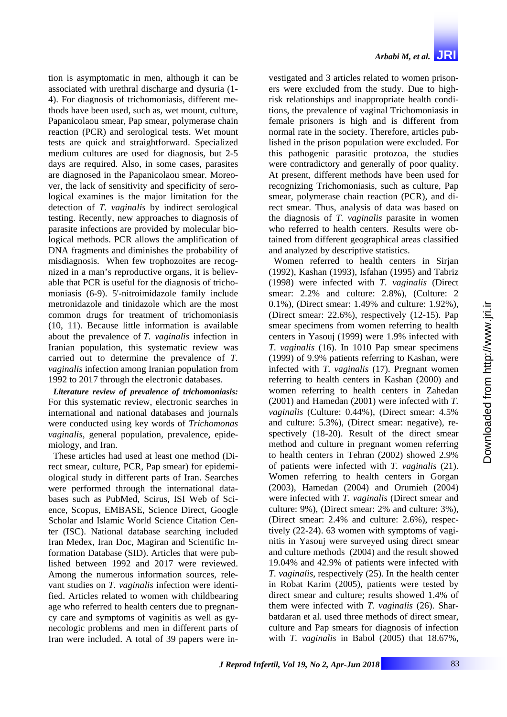tion is asymptomatic in men, although it can be associated with urethral discharge and dysuria (1- 4). For diagnosis of trichomoniasis, different methods have been used, such as, wet mount, culture, Papanicolaou smear, Pap smear, polymerase chain reaction (PCR) and serological tests. Wet mount tests are quick and straightforward. Specialized medium cultures are used for diagnosis, but 2-5 days are required. Also, in some cases, parasites are diagnosed in the Papanicolaou smear. Moreover, the lack of sensitivity and specificity of serological examines is the major limitation for the detection of *T. vaginalis* by indirect serological testing. Recently, new approaches to diagnosis of parasite infections are provided by molecular biological methods. PCR allows the amplification of DNA fragments and diminishes the probability of misdiagnosis. When few trophozoites are recognized in a man's reproductive organs, it is believable that PCR is useful for the diagnosis of trichomoniasis (6-9). 5'-nitroimidazole family include metronidazole and tinidazole which are the most common drugs for treatment of trichomoniasis (10, 11). Because little information is available about the prevalence of *T. vaginalis* infection in Iranian population, this systematic review was carried out to determine the prevalence of *T. vaginalis* infection among Iranian population from 1992 to 2017 through the electronic databases.

*Literature review of prevalence of trichomoniasis:*  For this systematic review, electronic searches in international and national databases and journals were conducted using key words of *Trichomonas vaginalis*, general population, prevalence, epidemiology, and Iran.

These articles had used at least one method (Direct smear, culture, PCR, Pap smear) for epidemiological study in different parts of Iran. Searches were performed through the international databases such as PubMed, Scirus, ISI Web of Science, Scopus, EMBASE, Science Direct, Google Scholar and Islamic World Science Citation Center (ISC). National database searching included Iran Medex, Iran Doc, Magiran and Scientific Information Database (SID). Articles that were published between 1992 and 2017 were reviewed. Among the numerous information sources, relevant studies on *T. vaginalis* infection were identified. Articles related to women with childbearing age who referred to health centers due to pregnancy care and symptoms of vaginitis as well as gynecologic problems and men in different parts of Iran were included. A total of 39 papers were investigated and 3 articles related to women prisoners were excluded from the study. Due to highrisk relationships and inappropriate health conditions, the prevalence of vaginal Trichomoniasis in female prisoners is high and is different from normal rate in the society. Therefore, articles published in the prison population were excluded. For this pathogenic parasitic protozoa, the studies were contradictory and generally of poor quality. At present, different methods have been used for recognizing Trichomoniasis, such as culture, Pap smear, polymerase chain reaction (PCR), and direct smear. Thus, analysis of data was based on the diagnosis of *T. vaginalis* parasite in women who referred to health centers. Results were obtained from different geographical areas classified and analyzed by descriptive statistics.

Women referred to health centers in Sirjan (1992), Kashan (1993), Isfahan (1995) and Tabriz (1998) were infected with *T. vaginalis* (Direct smear: 2.2% and culture: 2.8%), (Culture: 2 0.1%), (Direct smear: 1.49% and culture: 1.92%), (Direct smear: 22.6%), respectively (12-15). Pap smear specimens from women referring to health centers in Yasouj (1999) were 1.9% infected with *T. vaginalis* (16). In 1010 Pap smear specimens (1999) of 9.9% patients referring to Kashan, were infected with *T. vaginalis* (17). Pregnant women referring to health centers in Kashan (2000) and women referring to health centers in Zahedan (2001) and Hamedan (2001) were infected with *T. vaginalis* (Culture: 0.44%), (Direct smear: 4.5% and culture: 5.3%), (Direct smear: negative), respectively (18-20). Result of the direct smear method and culture in pregnant women referring to health centers in Tehran (2002) showed 2.9% of patients were infected with *T. vaginalis* (21). Women referring to health centers in Gorgan (2003), Hamedan (2004) and Orumieh (2004) were infected with *T. vaginalis* (Direct smear and culture: 9%), (Direct smear: 2% and culture: 3%), (Direct smear: 2.4% and culture: 2.6%), respectively (22-24). 63 women with symptoms of vaginitis in Yasouj were surveyed using direct smear and culture methods (2004) and the result showed 19.04% and 42.9% of patients were infected with *T. vaginalis*, respectively (25). In the health center in Robat Karim (2005), patients were tested by direct smear and culture; results showed 1.4% of them were infected with *T. vaginalis* (26). Sharbatdaran et al. used three methods of direct smear, culture and Pap smears for diagnosis of infection with *T. vaginalis* in Babol (2005) that 18.67%,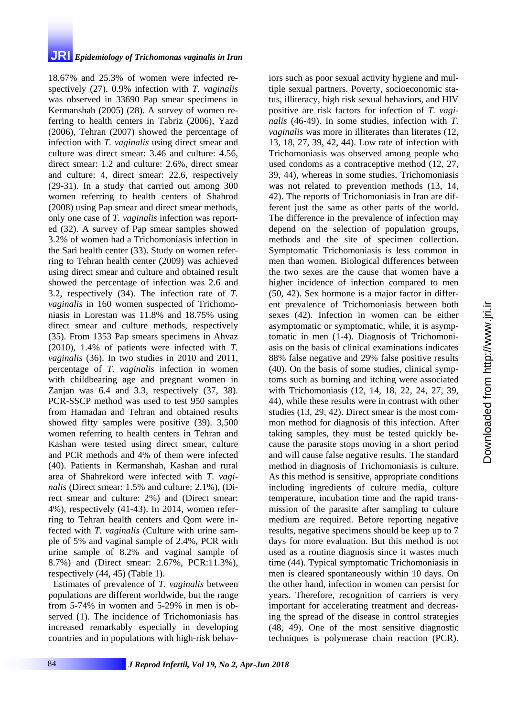## **JRI** *Epidemiology of Trichomonas vaginalis in Iran*

18.67% and 25.3% of women were infected respectively (27). 0.9% infection with *T. vaginalis* was observed in 33690 Pap smear specimens in Kermanshah (2005) (28). A survey of women referring to health centers in Tabriz (2006), Yazd (2006), Tehran (2007) showed the percentage of infection with *T. vaginalis* using direct smear and culture was direct smear: 3.46 and culture: 4.56, direct smear: 1.2 and culture: 2.6%, direct smear and culture: 4, direct smear: 22.6, respectively (29-31). In a study that carried out among 300 women referring to health centers of Shahrod (2008) using Pap smear and direct smear methods, only one case of *T. vaginalis* infection was reported (32). A survey of Pap smear samples showed 3.2% of women had a Trichomoniasis infection in the Sari health center (33). Study on women referring to Tehran health center (2009) was achieved using direct smear and culture and obtained result showed the percentage of infection was 2.6 and 3.2, respectively (34). The infection rate of *T. vaginalis* in 160 women suspected of Trichomoniasis in Lorestan was 11.8% and 18.75% using direct smear and culture methods, respectively (35). From 1353 Pap smears specimens in Ahvaz (2010), 1.4% of patients were infected with *T. vaginalis* (36). In two studies in 2010 and 2011, percentage of *T. vaginalis* infection in women with childbearing age and pregnant women in Zanjan was 6.4 and 3.3, respectively (37, 38). PCR-SSCP method was used to test 950 samples from Hamadan and Tehran and obtained results showed fifty samples were positive (39). 3,500 women referring to health centers in Tehran and Kashan were tested using direct smear, culture and PCR methods and 4% of them were infected (40). Patients in Kermanshah, Kashan and rural area of Shahrekord were infected with *T. vaginalis* (Direct smear: 1.5% and culture: 2.1%), (Direct smear and culture: 2%) and (Direct smear: 4%), respectively (41-43). In 2014, women referring to Tehran health centers and Qom were infected with *T. vaginalis* (Culture with urine sample of 5% and vaginal sample of 2.4%, PCR with urine sample of 8.2% and vaginal sample of 8.7%) and (Direct smear: 2.67%, PCR:11.3%), respectively (44, 45) (Table 1).

Estimates of prevalence of *T. vaginalis* between populations are different worldwide, but the range from 5-74% in women and 5-29% in men is observed (1). The incidence of Trichomoniasis has increased remarkably especially in developing countries and in populations with high-risk behaviors such as poor sexual activity hygiene and multiple sexual partners. Poverty, socioeconomic status, illiteracy, high risk sexual behaviors, and HIV positive are risk factors for infection of *T. vaginalis* (46-49). In some studies, infection with *T. vaginalis* was more in illiterates than literates (12, 13, 18, 27, 39, 42, 44). Low rate of infection with Trichomoniasis was observed among people who used condoms as a contraceptive method (12, 27, 39, 44), whereas in some studies, Trichomoniasis was not related to prevention methods (13, 14, 42). The reports of Trichomoniasis in Iran are different just the same as other parts of the world. The difference in the prevalence of infection may depend on the selection of population groups, methods and the site of specimen collection. Symptomatic Trichomoniasis is less common in men than women. Biological differences between the two sexes are the cause that women have a higher incidence of infection compared to men (50, 42). Sex hormone is a major factor in different prevalence of Trichomoniasis between both sexes (42). Infection in women can be either asymptomatic or symptomatic, while, it is asymptomatic in men (1-4). Diagnosis of Trichomoniasis on the basis of clinical examinations indicates 88% false negative and 29% false positive results (40). On the basis of some studies, clinical symptoms such as burning and itching were associated with Trichomoniasis (12, 14, 18, 22, 24, 27, 39, 44), while these results were in contrast with other studies (13, 29, 42). Direct smear is the most common method for diagnosis of this infection. After taking samples, they must be tested quickly because the parasite stops moving in a short period and will cause false negative results. The standard method in diagnosis of Trichomoniasis is culture. As this method is sensitive, appropriate conditions including ingredients of culture media, culture temperature, incubation time and the rapid transmission of the parasite after sampling to culture medium are required. Before reporting negative results, negative specimens should be keep up to 7 days for more evaluation. But this method is not used as a routine diagnosis since it wastes much time (44). Typical symptomatic Trichomoniasis in men is cleared spontaneously within 10 days. On the other hand, infection in women can persist for years. Therefore, recognition of carriers is very important for accelerating treatment and decreasing the spread of the disease in control strategies (48, 49). One of the most sensitive diagnostic techniques is polymerase chain reaction (PCR).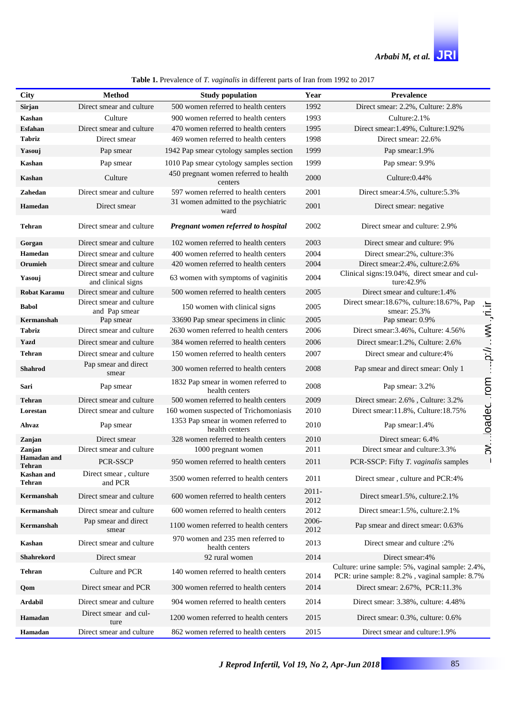| <b>Table 1.</b> Prevalence of T. <i>vaginalis</i> in different parts of Iran from 1992 to 2017 |  |  |
|------------------------------------------------------------------------------------------------|--|--|
|------------------------------------------------------------------------------------------------|--|--|

| City                               | <b>Method</b>                                  | <b>Study population</b>                               | Year             | <b>Prevalence</b>                                                                                 |            |
|------------------------------------|------------------------------------------------|-------------------------------------------------------|------------------|---------------------------------------------------------------------------------------------------|------------|
| Sirjan                             | Direct smear and culture                       | 500 women referred to health centers                  | 1992             | Direct smear: 2.2%, Culture: 2.8%                                                                 |            |
| Kashan                             | Culture                                        | 900 women referred to health centers                  | 1993             | Culture: 2.1%                                                                                     |            |
| Esfahan                            | Direct smear and culture                       | 470 women referred to health centers                  | 1995             | Direct smear: 1.49%, Culture: 1.92%                                                               |            |
| <b>Tabriz</b>                      | Direct smear                                   | 469 women referred to health centers                  | 1998             | Direct smear: 22.6%                                                                               |            |
| Yasouj                             | Pap smear                                      | 1942 Pap smear cytology samples section               | 1999             | Pap smear: 1.9%                                                                                   |            |
| Kashan                             | Pap smear                                      | 1010 Pap smear cytology samples section               | 1999             | Pap smear: 9.9%                                                                                   |            |
| Kashan                             | Culture                                        | 450 pregnant women referred to health<br>centers      | 2000             | Culture: 0.44%                                                                                    |            |
| Zahedan                            | Direct smear and culture                       | 597 women referred to health centers                  | 2001             | Direct smear: 4.5%, culture: 5.3%                                                                 |            |
| Hamedan                            | Direct smear                                   | 31 women admitted to the psychiatric<br>ward          | 2001             | Direct smear: negative                                                                            |            |
| Tehran                             | Direct smear and culture                       | Pregnant women referred to hospital                   | 2002             | Direct smear and culture: 2.9%                                                                    |            |
| Gorgan                             | Direct smear and culture                       | 102 women referred to health centers                  | 2003             | Direct smear and culture: 9%                                                                      |            |
| Hamedan                            | Direct smear and culture                       | 400 women referred to health centers                  | 2004             | Direct smear:2%, culture:3%                                                                       |            |
| Orumieh                            | Direct smear and culture                       | 420 women referred to health centers                  | 2004             | Direct smear: 2.4%, culture: 2.6%                                                                 |            |
| Yasouj                             | Direct smear and culture<br>and clinical signs | 63 women with symptoms of vaginitis                   | 2004             | Clinical signs: 19.04%, direct smear and cul-<br>ture:42.9%                                       |            |
| <b>Robat Karamu</b>                | Direct smear and culture                       | 500 women referred to health centers                  | 2005             | Direct smear and culture: 1.4%                                                                    |            |
| <b>Babol</b>                       | Direct smear and culture<br>and Pap smear      | 150 women with clinical signs                         | 2005             | Direct smear:18.67%, culture:18.67%, Pap<br>smear: 25.3%                                          | ni.ir      |
| Kermanshah                         | Pap smear                                      | 33690 Pap smear specimens in clinic                   | 2005             | Pap smear: 0.9%                                                                                   |            |
| <b>Tabriz</b>                      | Direct smear and culture                       | 2630 women referred to health centers                 | 2006             | Direct smear: 3.46%, Culture: 4.56%                                                               | $\sim$ MV. |
| Yazd                               | Direct smear and culture                       | 384 women referred to health centers                  | 2006             | Direct smear: 1.2%, Culture: 2.6%                                                                 |            |
| <b>Tehran</b>                      | Direct smear and culture                       | 150 women referred to health centers                  | 2007             | Direct smear and culture:4%                                                                       | /i.c       |
| <b>Shahrod</b>                     | Pap smear and direct<br>smear                  | 300 women referred to health centers                  | 2008             | Pap smear and direct smear: Only 1                                                                |            |
| Sari                               | Pap smear                                      | 1832 Pap smear in women referred to<br>health centers | 2008             | Pap smear: 3.2%                                                                                   | mor        |
| <b>Tehran</b>                      | Direct smear and culture                       | 500 women referred to health centers                  | 2009             | Direct smear: 2.6%, Culture: 3.2%                                                                 |            |
| Lorestan                           | Direct smear and culture                       | 160 women suspected of Trichomoniasis                 | 2010             | Direct smear:11.8%, Culture:18.75%                                                                |            |
| Ahvaz                              | Pap smear                                      | 1353 Pap smear in women referred to<br>health centers | 2010             | Pap smear: 1.4%                                                                                   | .oadec     |
| Zanjan                             | Direct smear                                   | 328 women referred to health centers                  | 2010             | Direct smear: 6.4%                                                                                |            |
| Zanjan                             | Direct smear and culture                       | 1000 pregnant women                                   | 2011             | Direct smear and culture: 3.3%                                                                    | ≳່         |
| Hamadan and<br>Tehran              | PCR-SSCP                                       | 950 women referred to health centers                  | 2011             | PCR-SSCP: Fifty T. vaginalis samples                                                              |            |
| <b>Kashan</b> and<br><b>Tehran</b> | Direct smear, culture<br>and PCR               | 3500 women referred to health centers                 | 2011             | Direct smear, culture and PCR:4%                                                                  |            |
| Kermanshah                         | Direct smear and culture                       | 600 women referred to health centers                  | $2011 -$<br>2012 | Direct smear1.5%, culture:2.1%                                                                    |            |
| Kermanshah                         | Direct smear and culture                       | 600 women referred to health centers                  | 2012             | Direct smear:1.5%, culture:2.1%                                                                   |            |
| Kermanshah                         | Pap smear and direct<br>smear                  | 1100 women referred to health centers                 | 2006-<br>2012    | Pap smear and direct smear: 0.63%                                                                 |            |
| Kashan                             | Direct smear and culture                       | 970 women and 235 men referred to<br>health centers   | 2013             | Direct smear and culture :2%                                                                      |            |
| Shahrekord                         | Direct smear                                   | 92 rural women                                        | 2014             | Direct smear:4%                                                                                   |            |
| <b>Tehran</b>                      | Culture and PCR                                | 140 women referred to health centers                  | 2014             | Culture: urine sample: 5%, vaginal sample: 2.4%,<br>PCR: urine sample: 8.2%, vaginal sample: 8.7% |            |
| Qom                                | Direct smear and PCR                           | 300 women referred to health centers                  | 2014             | Direct smear: 2.67%, PCR:11.3%                                                                    |            |
| Ardabil                            | Direct smear and culture                       | 904 women referred to health centers                  | 2014             | Direct smear: 3.38%, culture: 4.48%                                                               |            |
| Hamadan                            | Direct smear and cul-<br>ture                  | 1200 women referred to health centers                 | 2015             | Direct smear: 0.3%, culture: 0.6%                                                                 |            |
| Hamadan                            | Direct smear and culture                       | 862 women referred to health centers                  | 2015             | Direct smear and culture: 1.9%                                                                    |            |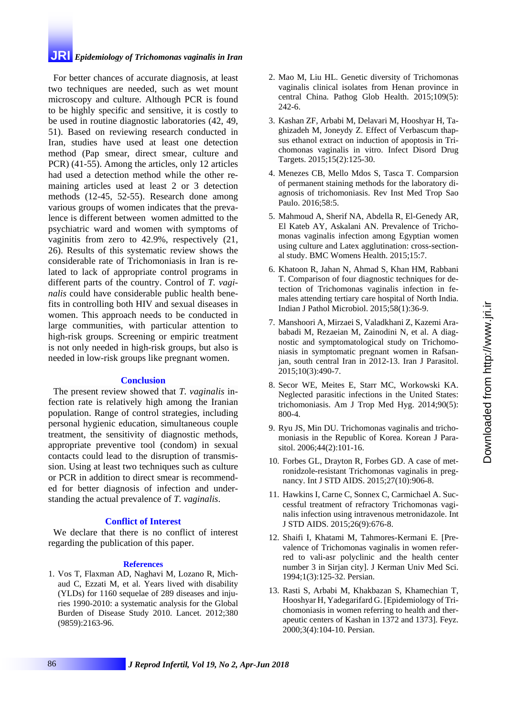## **JRI** *Epidemiology of Trichomonas vaginalis in Iran*

For better chances of accurate diagnosis, at least two techniques are needed, such as wet mount microscopy and culture. Although PCR is found to be highly specific and sensitive, it is costly to be used in routine diagnostic laboratories (42, 49, 51). Based on reviewing research conducted in Iran, studies have used at least one detection method (Pap smear, direct smear, culture and PCR) (41-55). Among the articles, only 12 articles had used a detection method while the other remaining articles used at least 2 or 3 detection methods (12-45, 52-55). Research done among various groups of women indicates that the prevalence is different between women admitted to the psychiatric ward and women with symptoms of vaginitis from zero to 42.9%, respectively (21, 26). Results of this systematic review shows the considerable rate of Trichomoniasis in Iran is related to lack of appropriate control programs in different parts of the country. Control of *T. vaginalis* could have considerable public health benefits in controlling both HIV and sexual diseases in women. This approach needs to be conducted in large communities, with particular attention to high-risk groups. Screening or empiric treatment is not only needed in high-risk groups, but also is needed in low-risk groups like pregnant women.

#### **Conclusion**

The present review showed that *T. vaginalis* infection rate is relatively high among the Iranian population. Range of control strategies, including personal hygienic education, simultaneous couple treatment, the sensitivity of diagnostic methods, appropriate preventive tool (condom) in sexual contacts could lead to the disruption of transmission. Using at least two techniques such as culture or PCR in addition to direct smear is recommended for better diagnosis of infection and understanding the actual prevalence of *T. vaginalis*.

#### **Conflict of Interest**

We declare that there is no conflict of interest regarding the publication of this paper.

#### **References**

1. Vos T, Flaxman AD, Naghavi M, Lozano R, Michaud C, Ezzati M, et al. Years lived with disability (YLDs) for 1160 sequelae of 289 diseases and injuries 1990-2010: a systematic analysis for the Global Burden of Disease Study 2010. Lancet. 2012;380 (9859):2163-96.

- 2. Mao M, Liu HL. Genetic diversity of Trichomonas vaginalis clinical isolates from Henan province in central China. Pathog Glob Health. 2015;109(5): 242-6.
- 3. Kashan ZF, Arbabi M, Delavari M, Hooshyar H, Taghizadeh M, Joneydy Z. Effect of Verbascum thapsus ethanol extract on induction of apoptosis in Trichomonas vaginalis in vitro. Infect Disord Drug Targets. 2015;15(2):125-30.
- 4. Menezes CB, Mello Mdos S, Tasca T. Comparsion of permanent staining methods for the laboratory diagnosis of trichomoniasis. Rev Inst Med Trop Sao Paulo. 2016;58:5.
- 5. Mahmoud A, Sherif NA, [Abdella R,](http://www.ncbi.nlm.nih.gov/pubmed/?term=Abdella%20R%5BAuthor%5D&cauthor=true&cauthor_uid=25783642) El-Genedy AR, El Kateb AY, Askalani AN. Prevalence of Trichomonas vaginalis infection among Egyptian women using culture and Latex agglutination: cross-sectional study. BMC Womens Health. 2015;15:7.
- 6. Khatoon R, Jahan N, Ahmad S, Khan HM, Rabbani T. Comparison of four diagnostic techniques for detection of Trichomonas vaginalis infection in females attending tertiary care hospital of North India. Indian J Pathol Microbiol. 2015;58(1):36-9.
- 7. [Manshoori](http://www.ncbi.nlm.nih.gov/pubmed/?term=Manshoori%20A%5BAuthor%5D&cauthor=true&cauthor_uid=26622305) A, Mirzaei S, Valadkhani Z, Kazemi Arababadi M, Rezaeian M, Zainodini N, et al. A diagnostic and symptomatological study on Trichomoniasis in symptomatic pregnant women in Rafsanjan, south central Iran in 2012-13. Iran J Parasitol. 2015;10(3):490-7.
- 8. Secor WE, Meites E, Starr MC, Workowski KA. Neglected parasitic infections in the United States: trichomoniasis. Am J Trop Med Hyg. 2014;90(5): 800-4.
- 9. Ryu JS, Min DU. Trichomonas vaginalis and trichomoniasis in the Republic of Korea. Korean J Parasitol. 2006;44(2):101-16.
- 10. Forbes GL, Drayton R, Forbes GD. A case of metronidzole-resistant Trichomonas vaginalis in pregnancy. Int J STD AIDS. 2015;27(10):906-8.
- 11. Hawkins I, Carne C, Sonnex C, Carmichael A. Successful treatment of refractory Trichomonas vaginalis infection using intravenous metronidazole. Int J STD AIDS. 2015;26(9):676-8.
- 12. Shaifi I, Khatami M, Tahmores-Kermani E. [Prevalence of Trichomonas vaginalis in women referred to vali-asr polyclinic and the health center number 3 in Sirjan city]. J Kerman Univ Med Sci. 1994;1(3):125-32. Persian.
- 13. Rasti S, Arbabi M, Khakbazan S, Khamechian T, Hooshyar H, Yadegarifard G. [Epidemiology of Trichomoniasis in women referring to health and therapeutic centers of Kashan in 1372 and 1373]. Feyz. 2000;3(4):104-10. Persian.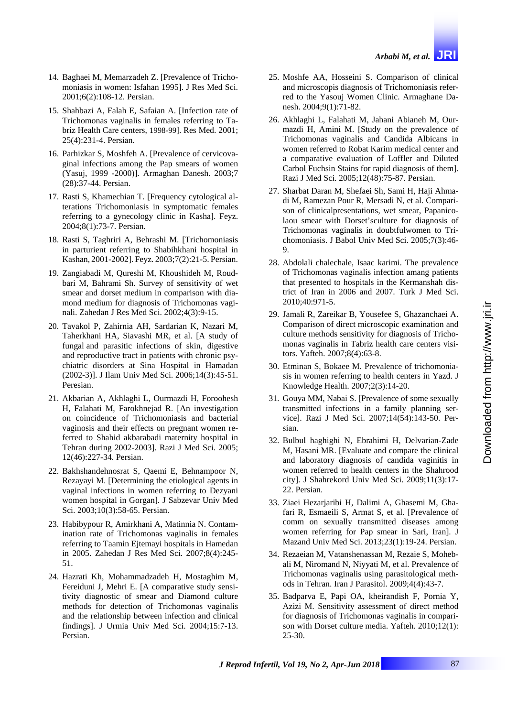- 14. Baghaei M, Memarzadeh Z. [Prevalence of Trichomoniasis in women: Isfahan 1995]. J Res Med Sci. 2001;6(2):108-12. Persian.
- 15. Shahbazi A, Falah E, Safaian A. [Infection rate of Trichomonas vaginalis in females referring to Tabriz Health Care centers, 1998-99]. Res Med. 2001; 25(4):231-4. Persian.
- 16. Parhizkar S, Moshfeh A. [Prevalence of cervicovaginal infections among the Pap smears of women (Yasuj, 1999 -2000)]. Armaghan Danesh. 2003;7 (28):37-44. Persian.
- 17. Rasti S, Khamechian T. [Frequency cytological alterations Trichomoniasis in symptomatic females referring to a gynecology clinic in Kasha]. Feyz. 2004;8(1):73-7. Persian.
- 18. Rasti S, Taghriri A, Behrashi M. [Trichomoniasis in parturient referring to Shabihkhani hospital in Kashan, 2001-2002]. Feyz. 2003;7(2):21-5. Persian.
- 19. Zangiabadi M, Qureshi M, Khoushideh M, Roudbari M, Bahrami Sh. Survey of sensitivity of wet smear and dorset medium in comparison with diamond medium for diagnosis of Trichomonas vaginali. Zahedan J Res Med Sci. 2002;4(3):9-15.
- 20. Tavakol P, Zahirnia AH, Sardarian K, Nazari M, Taherkhani HA, Siavashi MR, et al. [A study of fungal and parasitic infections of skin, digestive and reproductive tract in patients with chronic psychiatric disorders at Sina Hospital in Hamadan (2002-3)]. J Ilam Univ Med Sci. 2006;14(3):45-51. Peresian.
- 21. Akbarian A, Akhlaghi L, Ourmazdi H, Foroohesh H, Falahati M, Farokhnejad R. [An investigation on coincidence of Trichomoniasis and bacterial vaginosis and their effects on pregnant women referred to Shahid akbarabadi maternity hospital in Tehran during 2002-2003]. Razi J Med Sci. 2005; 12(46):227-34. Persian.
- 22. Bakhshandehnosrat S, Qaemi E, Behnampoor N, Rezayayi M. [Determining the etiological agents in vaginal infections in women referring to Dezyani women hospital in Gorgan]. J Sabzevar Univ Med Sci. 2003;10(3):58-65. Persian.
- 23. Habibypour R, Amirkhani A, Matinnia N. Contamination rate of Trichomonas vaginalis in females referring to Taamin Ejtemayi hospitals in Hamedan in 2005. Zahedan J Res Med Sci. 2007;8(4):245- 51.
- 24. Hazrati Kh, Mohammadzadeh H, Mostaghim M, Fereiduni J, Mehri E. [A comparative study sensitivity diagnostic of smear and Diamond culture methods for detection of Trichomonas vaginalis and the relationship between infection and clinical findings]. J Urmia Univ Med Sci. 2004;15:7-13. Persian.
- 25. Moshfe AA, Hosseini S. Comparison of clinical and microscopis diagnosis of Trichomoniasis referred to the Yasouj Women Clinic. Armaghane Danesh. 2004;9(1):71-82.
- 26. Akhlaghi L, Falahati M, Jahani Abianeh M, Ourmazdi H, Amini M. [Study on the prevalence of Trichomonas vaginalis and Candida Albicans in women referred to Robat Karim medical center and a comparative evaluation of Loffler and Diluted Carbol Fuchsin Stains for rapid diagnosis of them]. Razi J Med Sci. 2005;12(48):75-87. Persian.
- 27. Sharbat Daran M, Shefaei Sh, Sami H, Haji Ahmadi M, Ramezan Pour R, Mersadi N, et al. Comparison of clinicalpresentations, wet smear, Papanicolaou smear with Dorset'sculture for diagnosis of Trichomonas vaginalis in doubtfulwomen to Trichomoniasis. J Babol Univ Med Sci. 2005;7(3):46- 9.
- 28. Abdolali chalechale, Isaac karimi. The prevalence of Trichomonas vaginalis infection amang patients that presented to hospitals in the Kermanshah district of Iran in 2006 and 2007. Turk J Med Sci. 2010;40:971-5.
- 29. Jamali R, Zareikar B, Yousefee S, Ghazanchaei A. Comparison of direct microscopic examination and culture methods sensitivity for diagnosis of Trichomonas vaginalis in Tabriz health care centers visitors. Yafteh. 2007;8(4):63-8.
- 30. Etminan S, Bokaee M. Prevalence of trichomoniasis in women referring to health centers in Yazd. J Knowledge Health. 2007;2(3):14-20.
- 31. Gouya MM, Nabai S. [Prevalence of some sexually transmitted infections in a family planning service]. Razi J Med Sci. 2007;14(54):143-50. Persian.
- 32. Bulbul haghighi N, Ebrahimi H, Delvarian-Zade M, Hasani MR. [Evaluate and compare the clinical and laboratory diagnosis of candida vaginitis in women referred to health centers in the Shahrood city]. J Shahrekord Univ Med Sci. 2009;11(3):17- 22. Persian.
- 33. Ziaei Hezarjaribi H, Dalimi A, Ghasemi M, Ghafari R, Esmaeili S, Armat S, et al. [Prevalence of comm on sexually transmitted diseases among women referring for Pap smear in Sari, Iran]. J Mazand Univ Med Sci. 2013;23(1):19-24. Persian.
- 34. Rezaeian M, Vatanshenassan M, Rezaie S, Mohebali M, Niromand N, Niyyati M, et al. Prevalence of Trichomonas vaginalis using parasitological methods in Tehran. Iran J Parasitol. 2009;4(4):43-7.
- 35. Badparva E, Papi OA, kheirandish F, Pornia Y, Azizi M. Sensitivity assessment of direct method for diagnosis of Trichomonas vaginalis in comparison with Dorset culture media. Yafteh. 2010;12(1): 25-30.